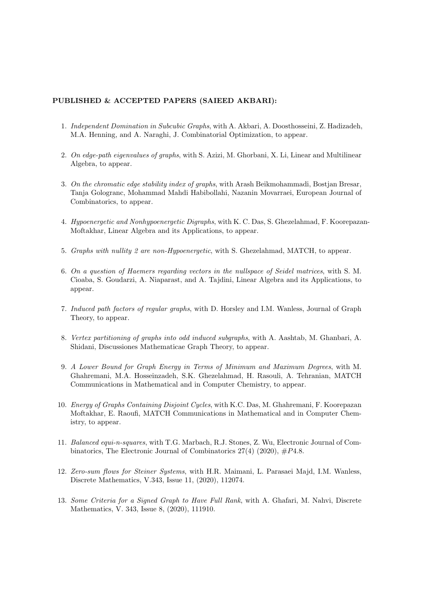## PUBLISHED & ACCEPTED PAPERS (SAIEED AKBARI):

- 1. Independent Domination in Subcubic Graphs, with A. Akbari, A. Doosthosseini, Z. Hadizadeh, M.A. Henning, and A. Naraghi, J. Combinatorial Optimization, to appear.
- 2. On edge-path eigenvalues of graphs, with S. Azizi, M. Ghorbani, X. Li, Linear and Multilinear Algebra, to appear.
- 3. On the chromatic edge stability index of graphs, with Arash Beikmohammadi, Bostjan Bresar, Tanja Gologranc, Mohammad Mahdi Habibollahi, Nazanin Movarraei, European Journal of Combinatorics, to appear.
- 4. Hypoenergetic and Nonhypoenergetic Digraphs, with K. C. Das, S. Ghezelahmad, F. Koorepazan-Moftakhar, Linear Algebra and its Applications, to appear.
- 5. Graphs with nullity 2 are non-Hypoenergetic, with S. Ghezelahmad, MATCH, to appear.
- 6. On a question of Haemers regarding vectors in the nullspace of Seidel matrices, with S. M. Cioaba, S. Goudarzi, A. Niaparast, and A. Tajdini, Linear Algebra and its Applications, to appear.
- 7. Induced path factors of regular graphs, with D. Horsley and I.M. Wanless, Journal of Graph Theory, to appear.
- 8. Vertex partitioning of graphs into odd induced subgraphs, with A. Aashtab, M. Ghanbari, A. Shidani, Discussiones Mathematicae Graph Theory, to appear.
- 9. A Lower Bound for Graph Energy in Terms of Minimum and Maximum Degrees, with M. Ghahremani, M.A. Hosseinzadeh, S.K. Ghezelahmad, H. Rasouli, A. Tehranian, MATCH Communications in Mathematical and in Computer Chemistry, to appear.
- 10. Energy of Graphs Containing Disjoint Cycles, with K.C. Das, M. Ghahremani, F. Koorepazan Moftakhar, E. Raoufi, MATCH Communications in Mathematical and in Computer Chemistry, to appear.
- 11. Balanced equi-n-squares, with T.G. Marbach, R.J. Stones, Z. Wu, Electronic Journal of Combinatorics, The Electronic Journal of Combinatorics  $27(4)$  (2020),  $\#P4.8$ .
- 12. Zero-sum flows for Steiner Systems, with H.R. Maimani, L. Parasaei Majd, I.M. Wanless, Discrete Mathematics, V.343, Issue 11, (2020), 112074.
- 13. Some Criteria for a Signed Graph to Have Full Rank, with A. Ghafari, M. Nahvi, Discrete Mathematics, V. 343, Issue 8, (2020), 111910.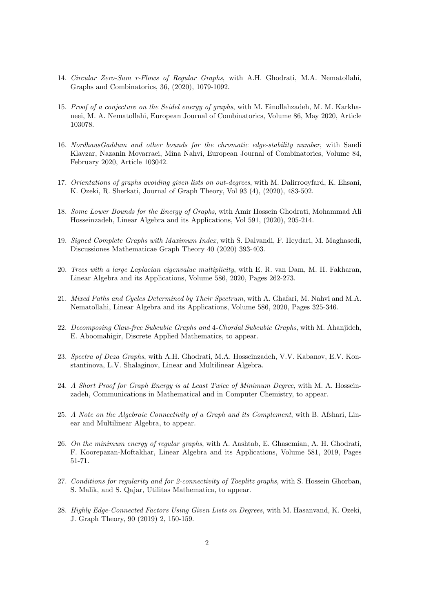- 14. Circular Zero-Sum r-Flows of Regular Graphs, with A.H. Ghodrati, M.A. Nematollahi, Graphs and Combinatorics, 36, (2020), 1079-1092.
- 15. Proof of a conjecture on the Seidel energy of graphs, with M. Einollahzadeh, M. M. Karkhaneei, M. A. Nematollahi, European Journal of Combinatorics, Volume 86, May 2020, Article 103078.
- 16. NordhausGaddum and other bounds for the chromatic edge-stability number, with Sandi Klavzar, Nazanin Movarraei, Mina Nahvi, European Journal of Combinatorics, Volume 84, February 2020, Article 103042.
- 17. Orientations of graphs avoiding given lists on out-degrees, with M. Dalirrooyfard, K. Ehsani, K. Ozeki, R. Sherkati, Journal of Graph Theory, Vol 93 (4), (2020), 483-502.
- 18. Some Lower Bounds for the Energy of Graphs, with Amir Hossein Ghodrati, Mohammad Ali Hosseinzadeh, Linear Algebra and its Applications, Vol 591, (2020), 205-214.
- 19. Signed Complete Graphs with Maximum Index, with S. Dalvandi, F. Heydari, M. Maghasedi, Discussiones Mathematicae Graph Theory 40 (2020) 393-403.
- 20. Trees with a large Laplacian eigenvalue multiplicity, with E. R. van Dam, M. H. Fakharan, Linear Algebra and its Applications, Volume 586, 2020, Pages 262-273.
- 21. Mixed Paths and Cycles Determined by Their Spectrum, with A. Ghafari, M. Nahvi and M.A. Nematollahi, Linear Algebra and its Applications, Volume 586, 2020, Pages 325-346.
- 22. Decomposing Claw-free Subcubic Graphs and 4-Chordal Subcubic Graphs, with M. Ahanjideh, E. Aboomahigir, Discrete Applied Mathematics, to appear.
- 23. Spectra of Deza Graphs, with A.H. Ghodrati, M.A. Hosseinzadeh, V.V. Kabanov, E.V. Konstantinova, L.V. Shalaginov, Linear and Multilinear Algebra.
- 24. A Short Proof for Graph Energy is at Least Twice of Minimum Degree, with M. A. Hosseinzadeh, Communications in Mathematical and in Computer Chemistry, to appear.
- 25. A Note on the Algebraic Connectivity of a Graph and its Complement, with B. Afshari, Linear and Multilinear Algebra, to appear.
- 26. On the minimum energy of regular graphs, with A. Aashtab, E. Ghasemian, A. H. Ghodrati, F. Koorepazan-Moftakhar, Linear Algebra and its Applications, Volume 581, 2019, Pages 51-71.
- 27. Conditions for regularity and for 2-connectivity of Toeplitz graphs, with S. Hossein Ghorban, S. Malik, and S. Qajar, Utilitas Mathematica, to appear.
- 28. Highly Edge-Connected Factors Using Given Lists on Degrees, with M. Hasanvand, K. Ozeki, J. Graph Theory, 90 (2019) 2, 150-159.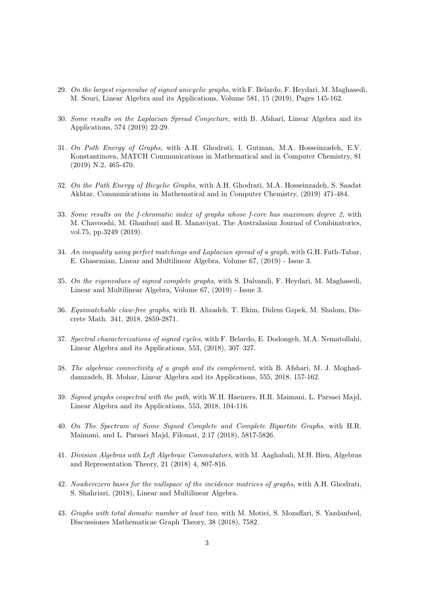- 29. On the largest eigenvalue of signed unicyclic graphs, with F. Belardo, F. Heydari, M. Maghasedi, M. Souri, Linear Algebra and its Applications, Volume 581, 15 (2019), Pages 145-162.
- 30. Some results on the Laplacian Spread Conjecture, with B. Afshari, Linear Algebra and its Applications, 574 (2019) 22-29.
- 31. On Path Energy of Graphs, with A.H. Ghodrati, I. Gutman, M.A. Hosseinzadeh, E.V. Konstantinova, MATCH Communications in Mathematical and in Computer Chemistry, 81 (2019) N.2, 465-470.
- 32. On the Path Energy of Bicyclic Graphs, with A.H. Ghodrati, M.A. Hosseinzadeh, S. Saadat Akhtar, Communications in Mathematical and in Computer Chemistry, (2019) 471-484.
- 33. Some results on the f-chromatic index of graphs whose f-core has maximum degree 2, with M. Chavooshi, M. Ghanbari and R. Manaviyat, The Australasian Journal of Combinatorics, vol.75, pp.3249 (2019).
- 34. An inequality using perfect matchings and Laplacian spread of a graph, with G.H. Fath-Tabar, E. Ghasemian, Linear and Multilinear Algebra, Volume 67, (2019) - Issue 3.
- 35. On the eigenvalues of signed complete graphs, with S. Dalvandi, F. Heydari, M. Maghasedi, Linear and Multilinear Algebra, Volume 67, (2019) - Issue 3.
- 36. Equimatchable claw-free graphs, with H. Alizadeh, T. Ekim, Didem Gzpek, M. Shalom, Discrete Math. 341, 2018, 2859-2871.
- 37. Spectral characterizations of signed cycles, with F. Belardo, E. Dodongeh, M.A. Nematollahi, Linear Algebra and its Applications, 553, (2018), 307–327.
- 38. The algebraic connectivity of a graph and its complement, with B. Afshari, M. J. Moghaddamzadeh, B. Mohar, Linear Algebra and its Applications, 555, 2018, 157-162.
- 39. Signed graphs cospectral with the path, with W.H. Haemers, H.R. Maimani, L. Parsaei Majd, Linear Algebra and its Applications, 553, 2018, 104-116.
- 40. On The Spectrum of Some Signed Complete and Complete Bipartite Graphs, with H.R. Maimani, and L. Parsaei Majd, Filomat, 2:17 (2018), 5817-5826.
- 41. Division Algebras with Left Algebraic Commutators, with M. Aaghabali, M.H. Bien, Algebras and Representation Theory, 21 (2018) 4, 807-816.
- 42. Nowherezero bases for the nullspace of the incidence matrices of graphs, with A.H. Ghodrati, S. Shahriari, (2018), Linear and Multilinear Algebra.
- 43. Graphs with total domatic number at least two, with M. Motiei, S. Mozaffari, S. Yazdanbod, Discussiones Mathematicae Graph Theory, 38 (2018), 7582.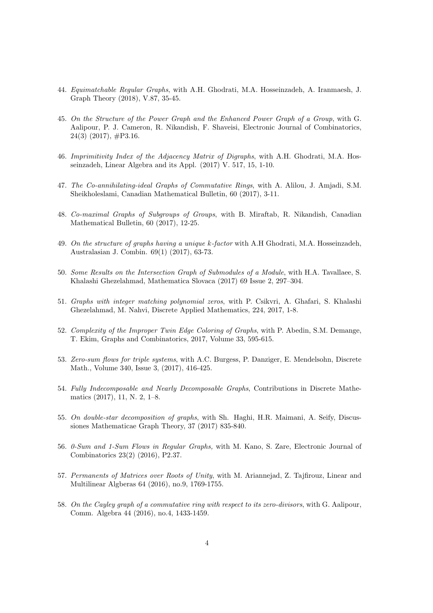- 44. Equimatchable Regular Graphs, with A.H. Ghodrati, M.A. Hosseinzadeh, A. Iranmaesh, J. Graph Theory (2018), V.87, 35-45.
- 45. On the Structure of the Power Graph and the Enhanced Power Graph of a Group, with G. Aalipour, P. J. Cameron, R. Nikandish, F. Shaveisi, Electronic Journal of Combinatorics,  $24(3)$  (2017),  $\#P3.16$ .
- 46. Imprimitivity Index of the Adjacency Matrix of Digraphs, with A.H. Ghodrati, M.A. Hosseinzadeh, Linear Algebra and its Appl. (2017) V. 517, 15, 1-10.
- 47. The Co-annihilating-ideal Graphs of Commutative Rings, with A. Alilou, J. Amjadi, S.M. Sheikholeslami, Canadian Mathematical Bulletin, 60 (2017), 3-11.
- 48. Co-maximal Graphs of Subgroups of Groups, with B. Miraftab, R. Nikandish, Canadian Mathematical Bulletin, 60 (2017), 12-25.
- 49. On the structure of graphs having a unique k-factor with A.H Ghodrati, M.A. Hosseinzadeh, Australasian J. Combin. 69(1) (2017), 63-73.
- 50. Some Results on the Intersection Graph of Submodules of a Module, with H.A. Tavallaee, S. Khalashi Ghezelahmad, Mathematica Slovaca (2017) 69 Issue 2, 297–304.
- 51. Graphs with integer matching polynomial zeros, with P. Csikvri, A. Ghafari, S. Khalashi Ghezelahmad, M. Nahvi, Discrete Applied Mathematics, 224, 2017, 1-8.
- 52. Complexity of the Improper Twin Edge Coloring of Graphs, with P. Abedin, S.M. Demange, T. Ekim, Graphs and Combinatorics, 2017, Volume 33, 595-615.
- 53. Zero-sum flows for triple systems, with A.C. Burgess, P. Danziger, E. Mendelsohn, Discrete Math., Volume 340, Issue 3, (2017), 416-425.
- 54. Fully Indecomposable and Nearly Decomposable Graphs, Contributions in Discrete Mathematics (2017), 11, N. 2, 1–8.
- 55. On double-star decomposition of graphs, with Sh. Haghi, H.R. Maimani, A. Seify, Discussiones Mathematicae Graph Theory, 37 (2017) 835-840.
- 56. 0-Sum and 1-Sum Flows in Regular Graphs, with M. Kano, S. Zare, Electronic Journal of Combinatorics 23(2) (2016), P2.37.
- 57. Permanents of Matrices over Roots of Unity, with M. Ariannejad, Z. Tajfirouz, Linear and Multilinear Algberas 64 (2016), no.9, 1769-1755.
- 58. On the Cayley graph of a commutative ring with respect to its zero-divisors, with G. Aalipour, Comm. Algebra 44 (2016), no.4, 1433-1459.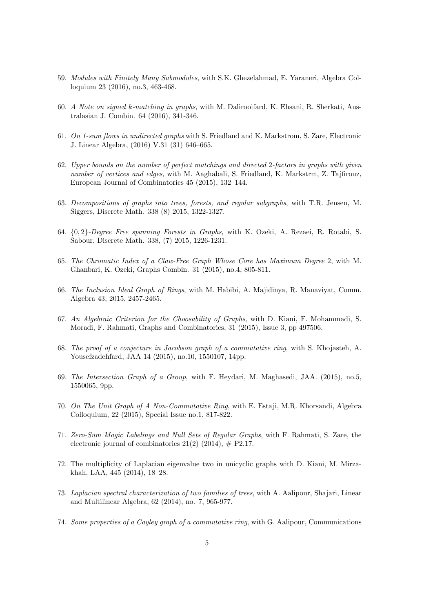- 59. Modules with Finitely Many Submodules, with S.K. Ghezelahmad, E. Yaraneri, Algebra Colloquium 23 (2016), no.3, 463-468.
- 60. A Note on signed k-matching in graphs, with M. Dalirooifard, K. Ehsani, R. Sherkati, Australasian J. Combin. 64 (2016), 341-346.
- 61. On 1-sum flows in undirected graphs with S. Friedland and K. Markstrom, S. Zare, Electronic J. Linear Algebra, (2016) V.31 (31) 646–665.
- 62. Upper bounds on the number of perfect matchings and directed 2-factors in graphs with given number of vertices and edges, with M. Aaghabali, S. Friedland, K. Markstrm, Z. Tajfirouz, European Journal of Combinatorics 45 (2015), 132–144.
- 63. Decompositions of graphs into trees, forests, and regular subgraphs, with T.R. Jensen, M. Siggers, Discrete Math. 338 (8) 2015, 1322-1327.
- 64. {0, 2}-Degree Free spanning Forests in Graphs, with K. Ozeki, A. Rezaei, R. Rotabi, S. Sabour, Discrete Math. 338, (7) 2015, 1226-1231.
- 65. The Chromatic Index of a Claw-Free Graph Whose Core has Maximum Degree 2, with M. Ghanbari, K. Ozeki, Graphs Combin. 31 (2015), no.4, 805-811.
- 66. The Inclusion Ideal Graph of Rings, with M. Habibi, A. Majidinya, R. Manaviyat, Comm. Algebra 43, 2015, 2457-2465.
- 67. An Algebraic Criterion for the Choosability of Graphs, with D. Kiani, F. Mohammadi, S. Moradi, F. Rahmati, Graphs and Combinatorics, 31 (2015), Issue 3, pp 497506.
- 68. The proof of a conjecture in Jacobson graph of a commutative ring, with S. Khojasteh, A. Yousefzadehfard, JAA 14 (2015), no.10, 1550107, 14pp.
- 69. The Intersection Graph of a Group, with F. Heydari, M. Maghasedi, JAA. (2015), no.5, 1550065, 9pp.
- 70. On The Unit Graph of A Non-Commutative Ring, with E. Estaji, M.R. Khorsandi, Algebra Colloquium, 22 (2015), Special Issue no.1, 817-822.
- 71. Zero-Sum Magic Labelings and Null Sets of Regular Graphs, with F. Rahmati, S. Zare, the electronic journal of combinatorics  $21(2)$  (2014),  $\#$  P2.17.
- 72. The multiplicity of Laplacian eigenvalue two in unicyclic graphs with D. Kiani, M. Mirzakhah, LAA, 445 (2014), 18–28.
- 73. Laplacian spectral characterization of two families of trees, with A. Aalipour, Shajari, Linear and Multilinear Algebra, 62 (2014), no. 7, 965-977.
- 74. Some properties of a Cayley graph of a commutative ring, with G. Aalipour, Communications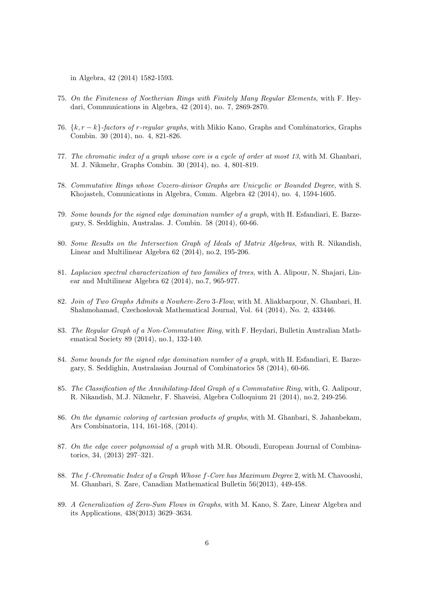in Algebra, 42 (2014) 1582-1593.

- 75. On the Finiteness of Noetherian Rings with Finitely Many Regular Elements, with F. Heydari, Communications in Algebra, 42 (2014), no. 7, 2869-2870.
- 76.  $\{k, r k\}$ -factors of r-regular graphs, with Mikio Kano, Graphs and Combinatorics, Graphs Combin. 30 (2014), no. 4, 821-826.
- 77. The chromatic index of a graph whose core is a cycle of order at most 13, with M. Ghanbari, M. J. Nikmehr, Graphs Combin. 30 (2014), no. 4, 801-819.
- 78. Commutative Rings whose Cozero-divisor Graphs are Unicyclic or Bounded Degree, with S. Khojasteh, Comunications in Algebra, Comm. Algebra 42 (2014), no. 4, 1594-1605.
- 79. Some bounds for the signed edge domination number of a graph, with H. Esfandiari, E. Barzegary, S. Seddighin, Australas. J. Combin. 58 (2014), 60-66.
- 80. Some Results on the Intersection Graph of Ideals of Matrix Algebras, with R. Nikandish, Linear and Multilinear Algebra 62 (2014), no.2, 195-206.
- 81. Laplacian spectral characterization of two families of trees, with A. Alipour, N. Shajari, Linear and Multilinear Algebra 62 (2014), no.7, 965-977.
- 82. Join of Two Graphs Admits a Nowhere-Zero 3-Flow, with M. Aliakbarpour, N. Ghanbari, H. Shahmohamad, Czechoslovak Mathematical Journal, Vol. 64 (2014), No. 2, 433446.
- 83. The Regular Graph of a Non-Commutative Ring, with F. Heydari, Bulletin Australian Mathematical Society 89 (2014), no.1, 132-140.
- 84. Some bounds for the signed edge domination number of a graph, with H. Esfandiari, E. Barzegary, S. Seddighin, Australasian Journal of Combinatorics 58 (2014), 60-66.
- 85. The Classification of the Annihilating-Ideal Graph of a Commutative Ring, with, G. Aalipour, R. Nikandish, M.J. Nikmehr, F. Shaveisi, Algebra Colloquium 21 (2014), no.2, 249-256.
- 86. On the dynamic coloring of cartesian products of graphs, with M. Ghanbari, S. Jahanbekam, Ars Combinatoria, 114, 161-168, (2014).
- 87. On the edge cover polynomial of a graph with M.R. Oboudi, European Journal of Combinatorics, 34, (2013) 297–321.
- 88. The f-Chromatic Index of a Graph Whose f-Core has Maximum Degree 2, with M. Chavooshi, M. Ghanbari, S. Zare, Canadian Mathematical Bulletin 56(2013), 449-458.
- 89. A Generalization of Zero-Sum Flows in Graphs, with M. Kano, S. Zare, Linear Algebra and its Applications, 438(2013) 3629–3634.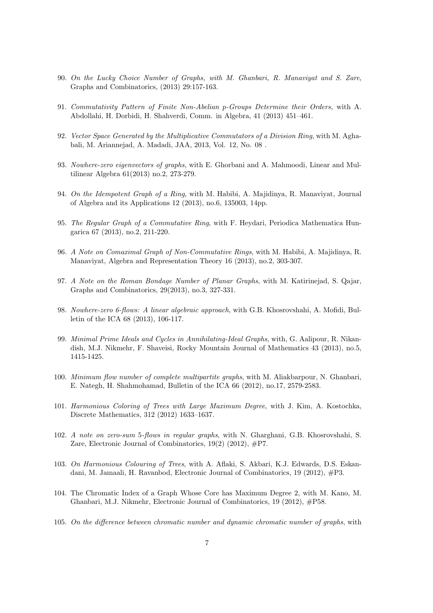- 90. On the Lucky Choice Number of Graphs, with M. Ghanbari, R. Manaviyat and S. Zare, Graphs and Combinatorics, (2013) 29:157-163.
- 91. Commutativity Pattern of Finite Non-Abelian p-Groups Determine their Orders, with A. Abdollahi, H. Dorbidi, H. Shahverdi, Comm. in Algebra, 41 (2013) 451–461.
- 92. Vector Space Generated by the Multiplicative Commutators of a Division Ring, with M. Aghabali, M. Ariannejad, A. Madadi, JAA, 2013, Vol. 12, No. 08 .
- 93. Nowhere-zero eigenvectors of graphs, with E. Ghorbani and A. Mahmoodi, Linear and Multilinear Algebra 61(2013) no.2, 273-279.
- 94. On the Idempotent Graph of a Ring, with M. Habibi, A. Majidinya, R. Manaviyat, Journal of Algebra and its Applications 12 (2013), no.6, 135003, 14pp.
- 95. The Regular Graph of a Commutative Ring, with F. Heydari, Periodica Mathematica Hungarica 67 (2013), no.2, 211-220.
- 96. A Note on Comaximal Graph of Non-Commutative Rings, with M. Habibi, A. Majidinya, R. Manaviyat, Algebra and Representation Theory 16 (2013), no.2, 303-307.
- 97. A Note on the Roman Bondage Number of Planar Graphs, with M. Katirinejad, S. Qajar, Graphs and Combinatorics, 29(2013), no.3, 327-331.
- 98. Nowhere-zero 6-flows: A linear algebraic approach, with G.B. Khosrovshahi, A. Mofidi, Bulletin of the ICA 68 (2013), 106-117.
- 99. Minimal Prime Ideals and Cycles in Annihilating-Ideal Graphs, with, G. Aalipour, R. Nikandish, M.J. Nikmehr, F. Shaveisi, Rocky Mountain Journal of Mathematics 43 (2013), no.5, 1415-1425.
- 100. Minimum flow number of complete multipartite graphs, with M. Aliakbarpour, N. Ghanbari, E. Nategh, H. Shahmohamad, Bulletin of the ICA 66 (2012), no.17, 2579-2583.
- 101. Harmonious Coloring of Trees with Large Maximum Degree, with J. Kim, A. Kostochka, Discrete Mathematics, 312 (2012) 1633–1637.
- 102. A note on zero-sum 5-flows in regular graphs, with N. Gharghani, G.B. Khosrovshahi, S. Zare, Electronic Journal of Combinatorics,  $19(2)$  (2012),  $\#P7$ .
- 103. On Harmonious Colouring of Trees, with A. Aflaki, S. Akbari, K.J. Edwards, D.S. Eskandani, M. Jamaali, H. Ravanbod, Electronic Journal of Combinatorics, 19 (2012), #P3.
- 104. The Chromatic Index of a Graph Whose Core has Maximum Degree 2, with M. Kano, M. Ghanbari, M.J. Nikmehr, Electronic Journal of Combinatorics, 19 (2012), #P58.
- 105. On the difference between chromatic number and dynamic chromatic number of graphs, with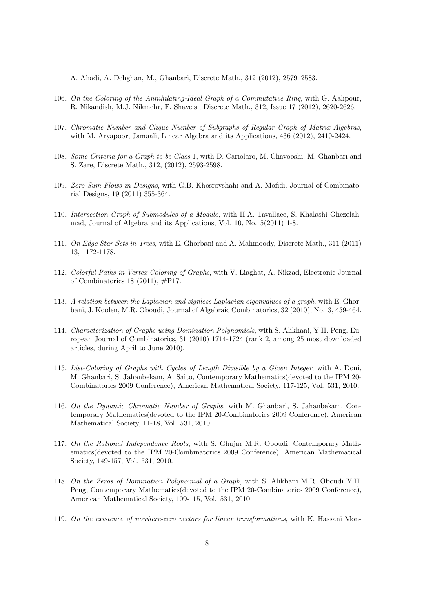A. Ahadi, A. Dehghan, M., Ghanbari, Discrete Math., 312 (2012), 2579–2583.

- 106. On the Coloring of the Annihilating-Ideal Graph of a Commutative Ring, with G. Aalipour, R. Nikandish, M.J. Nikmehr, F. Shaveisi, Discrete Math., 312, Issue 17 (2012), 2620-2626.
- 107. Chromatic Number and Clique Number of Subgraphs of Regular Graph of Matrix Algebras, with M. Aryapoor, Jamaali, Linear Algebra and its Applications, 436 (2012), 2419-2424.
- 108. Some Criteria for a Graph to be Class 1, with D. Cariolaro, M. Chavooshi, M. Ghanbari and S. Zare, Discrete Math., 312, (2012), 2593-2598.
- 109. Zero Sum Flows in Designs, with G.B. Khosrovshahi and A. Mofidi, Journal of Combinatorial Designs, 19 (2011) 355-364.
- 110. Intersection Graph of Submodules of a Module, with H.A. Tavallaee, S. Khalashi Ghezelahmad, Journal of Algebra and its Applications, Vol. 10, No. 5(2011) 1-8.
- 111. On Edge Star Sets in Trees, with E. Ghorbani and A. Mahmoody, Discrete Math., 311 (2011) 13, 1172-1178.
- 112. Colorful Paths in Vertex Coloring of Graphs, with V. Liaghat, A. Nikzad, Electronic Journal of Combinatorics 18 (2011), #P17.
- 113. A relation between the Laplacian and signless Laplacian eigenvalues of a graph, with E. Ghorbani, J. Koolen, M.R. Oboudi, Journal of Algebraic Combinatorics, 32 (2010), No. 3, 459-464.
- 114. Characterization of Graphs using Domination Polynomials, with S. Alikhani, Y.H. Peng, European Journal of Combinatorics, 31 (2010) 1714-1724 (rank 2, among 25 most downloaded articles, during April to June 2010).
- 115. List-Coloring of Graphs with Cycles of Length Divisible by a Given Integer, with A. Doni, M. Ghanbari, S. Jahanbekam, A. Saito, Contemporary Mathematics(devoted to the IPM 20- Combinatorics 2009 Conference), American Mathematical Society, 117-125, Vol. 531, 2010.
- 116. On the Dynamic Chromatic Number of Graphs, with M. Ghanbari, S. Jahanbekam, Contemporary Mathematics(devoted to the IPM 20-Combinatorics 2009 Conference), American Mathematical Society, 11-18, Vol. 531, 2010.
- 117. On the Rational Independence Roots, with S. Ghajar M.R. Oboudi, Contemporary Mathematics(devoted to the IPM 20-Combinatorics 2009 Conference), American Mathematical Society, 149-157, Vol. 531, 2010.
- 118. On the Zeros of Domination Polynomial of a Graph, with S. Alikhani M.R. Oboudi Y.H. Peng, Contemporary Mathematics(devoted to the IPM 20-Combinatorics 2009 Conference), American Mathematical Society, 109-115, Vol. 531, 2010.
- 119. On the existence of nowhere-zero vectors for linear transformations, with K. Hassani Mon-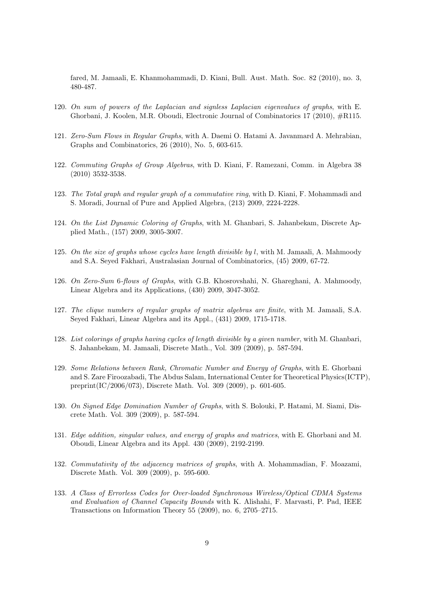fared, M. Jamaali, E. Khanmohammadi, D. Kiani, Bull. Aust. Math. Soc. 82 (2010), no. 3, 480-487.

- 120. On sum of powers of the Laplacian and signless Laplacian eigenvalues of graphs, with E. Ghorbani, J. Koolen, M.R. Oboudi, Electronic Journal of Combinatorics 17 (2010), #R115.
- 121. Zero-Sum Flows in Regular Graphs, with A. Daemi O. Hatami A. Javanmard A. Mehrabian, Graphs and Combinatorics, 26 (2010), No. 5, 603-615.
- 122. Commuting Graphs of Group Algebras, with D. Kiani, F. Ramezani, Comm. in Algebra 38 (2010) 3532-3538.
- 123. The Total graph and regular graph of a commutative ring, with D. Kiani, F. Mohammadi and S. Moradi, Journal of Pure and Applied Algebra, (213) 2009, 2224-2228.
- 124. On the List Dynamic Coloring of Graphs, with M. Ghanbari, S. Jahanbekam, Discrete Applied Math., (157) 2009, 3005-3007.
- 125. On the size of graphs whose cycles have length divisible by  $l$ , with M. Jamaali, A. Mahmoody and S.A. Seyed Fakhari, Australasian Journal of Combinatorics, (45) 2009, 67-72.
- 126. On Zero-Sum 6-flows of Graphs, with G.B. Khosrovshahi, N. Ghareghani, A. Mahmoody, Linear Algebra and its Applications, (430) 2009, 3047-3052.
- 127. The clique numbers of regular graphs of matrix algebras are finite, with M. Jamaali, S.A. Seyed Fakhari, Linear Algebra and its Appl., (431) 2009, 1715-1718.
- 128. List colorings of graphs having cycles of length divisible by a given number, with M. Ghanbari, S. Jahanbekam, M. Jamaali, Discrete Math., Vol. 309 (2009), p. 587-594.
- 129. Some Relations between Rank, Chromatic Number and Energy of Graphs, with E. Ghorbani and S. Zare Firoozabadi, The Abdus Salam, International Center for Theoretical Physics(ICTP), preprint(IC/2006/073), Discrete Math. Vol. 309 (2009), p. 601-605.
- 130. On Signed Edge Domination Number of Graphs, with S. Bolouki, P. Hatami, M. Siami, Discrete Math. Vol. 309 (2009), p. 587-594.
- 131. Edge addition, singular values, and energy of graphs and matrices, with E. Ghorbani and M. Oboudi, Linear Algebra and its Appl. 430 (2009), 2192-2199.
- 132. Commutativity of the adjacency matrices of graphs, with A. Mohammadian, F. Moazami, Discrete Math. Vol. 309 (2009), p. 595-600.
- 133. A Class of Errorless Codes for Over-loaded Synchronous Wireless/Optical CDMA Systems and Evaluation of Channel Capacity Bounds with K. Alishahi, F. Marvasti, P. Pad, IEEE Transactions on Information Theory 55 (2009), no. 6, 2705–2715.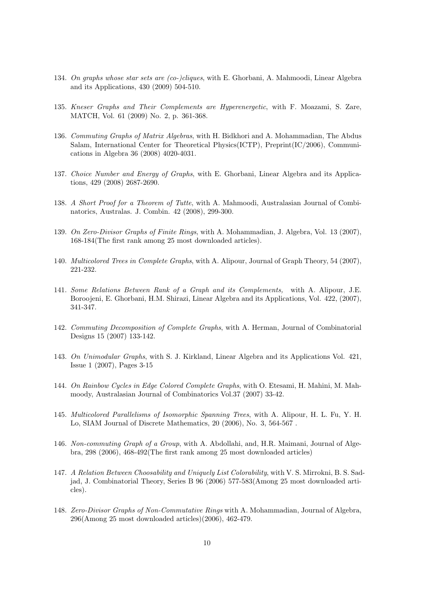- 134. On graphs whose star sets are (co-)cliques, with E. Ghorbani, A. Mahmoodi, Linear Algebra and its Applications, 430 (2009) 504-510.
- 135. Kneser Graphs and Their Complements are Hyperenergetic, with F. Moazami, S. Zare, MATCH, Vol. 61 (2009) No. 2, p. 361-368.
- 136. Commuting Graphs of Matrix Algebras, with H. Bidkhori and A. Mohammadian, The Abdus Salam, International Center for Theoretical Physics(ICTP), Preprint(IC/2006), Communications in Algebra 36 (2008) 4020-4031.
- 137. Choice Number and Energy of Graphs, with E. Ghorbani, Linear Algebra and its Applications, 429 (2008) 2687-2690.
- 138. A Short Proof for a Theorem of Tutte, with A. Mahmoodi, Australasian Journal of Combinatorics, Australas. J. Combin. 42 (2008), 299-300.
- 139. On Zero-Divisor Graphs of Finite Rings, with A. Mohammadian, J. Algebra, Vol. 13 (2007), 168-184(The first rank among 25 most downloaded articles).
- 140. Multicolored Trees in Complete Graphs, with A. Alipour, Journal of Graph Theory, 54 (2007), 221-232.
- 141. Some Relations Between Rank of a Graph and its Complements, with A. Alipour, J.E. Boroojeni, E. Ghorbani, H.M. Shirazi, Linear Algebra and its Applications, Vol. 422, (2007), 341-347.
- 142. Commuting Decomposition of Complete Graphs, with A. Herman, Journal of Combinatorial Designs 15 (2007) 133-142.
- 143. On Unimodular Graphs, with S. J. Kirkland, Linear Algebra and its Applications Vol. 421, Issue 1 (2007), Pages 3-15
- 144. On Rainbow Cycles in Edge Colored Complete Graphs, with O. Etesami, H. Mahini, M. Mahmoody, Australasian Journal of Combinatorics Vol.37 (2007) 33-42.
- 145. Multicolored Parallelisms of Isomorphic Spanning Trees, with A. Alipour, H. L. Fu, Y. H. Lo, SIAM Journal of Discrete Mathematics, 20 (2006), No. 3, 564-567 .
- 146. Non-commuting Graph of a Group, with A. Abdollahi, and, H.R. Maimani, Journal of Algebra, 298 (2006), 468-492(The first rank among 25 most downloaded articles)
- 147. A Relation Between Choosability and Uniquely List Colorability, with V. S. Mirrokni, B. S. Sadjad, J. Combinatorial Theory, Series B 96 (2006) 577-583(Among 25 most downloaded articles).
- 148. Zero-Divisor Graphs of Non-Commutative Rings with A. Mohammadian, Journal of Algebra, 296(Among 25 most downloaded articles)(2006), 462-479.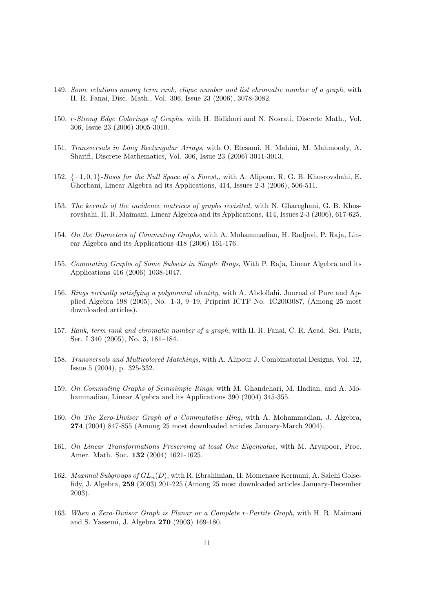- 149. Some relations among term rank, clique number and list chromatic number of a graph, with H. R. Fanai, Disc. Math., Vol. 306, Issue 23 (2006), 3078-3082.
- 150. r-Strong Edge Colorings of Graphs, with H. Bidkhori and N. Nosrati, Discrete Math., Vol. 306, Issue 23 (2006) 3005-3010.
- 151. Transversals in Long Rectangular Arrays, with O. Etesami, H. Mahini, M. Mahmoody, A. Sharifi, Discrete Mathematics, Vol. 306, Issue 23 (2006) 3011-3013.
- 152. {−1, 0, 1}-Basis for the Null Space of a Forest,, with A. Alipour, R. G. B. Khosrovshahi, E. Ghorbani, Linear Algebra ad its Applications, 414, Issues 2-3 (2006), 506-511.
- 153. The kernels of the incidence matrices of graphs revisited, with N. Ghareghani, G. B. Khosrovshahi, H. R. Maimani, Linear Algebra and its Applications, 414, Issues 2-3 (2006), 617-625.
- 154. On the Diameters of Commuting Graphs, with A. Mohammadian, H. Radjavi, P. Raja, Linear Algebra and its Applications 418 (2006) 161-176.
- 155. Commuting Graphs of Some Subsets in Simple Rings, With P. Raja, Linear Algebra and its Applications 416 (2006) 1038-1047.
- 156. Rings virtually satisfying a polynomial identity, with A. Abdollahi, Journal of Pure and Applied Algebra 198 (2005), No. 1-3, 9–19, Priprint ICTP No. IC2003087, (Among 25 most downloaded articles).
- 157. Rank, term rank and chromatic number of a graph, with H. R. Fanai, C. R. Acad. Sci. Paris, Ser. I 340 (2005), No. 3, 181–184.
- 158. Transversals and Multicolored Matchings, with A. Alipour J. Combinatorial Designs, Vol. 12, Issue 5 (2004), p. 325-332.
- 159. On Commuting Graphs of Semisimple Rings, with M. Ghandehari, M. Hadian, and A. Mohammadian, Linear Algebra and its Applications 390 (2004) 345-355.
- 160. On The Zero-Divisor Graph of a Commutative Ring, with A. Mohammadian, J. Algebra, 274 (2004) 847-855 (Among 25 most downloaded articles January-March 2004).
- 161. On Linear Transformations Preserving at least One Eigenvalue, with M. Aryapoor, Proc. Amer. Math. Soc. 132 (2004) 1621-1625.
- 162. *Maximal Subgroups of*  $GL_n(D)$ , with R. Ebrahimian, H. Momenaee Kermani, A. Salehi Golsefidy, J. Algebra, 259 (2003) 201-225 (Among 25 most downloaded articles January-December 2003).
- 163. When a Zero-Divisor Graph is Planar or a Complete r-Partite Graph, with H. R. Maimani and S. Yassemi, J. Algebra 270 (2003) 169-180.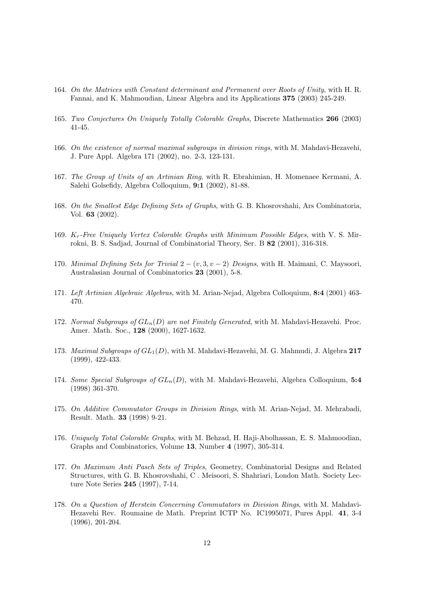- 164. On the Matrices with Constant determinant and Permanent over Roots of Unity, with H. R. Fannai, and K. Mahmoudian, Linear Algebra and its Applications 375 (2003) 245-249.
- 165. Two Conjectures On Uniquely Totally Colorable Graphs, Discrete Mathematics 266 (2003) 41-45.
- 166. On the existence of normal maximal subgroups in division rings, with M. Mahdavi-Hezavehi, J. Pure Appl. Algebra 171 (2002), no. 2-3, 123-131.
- 167. The Group of Units of an Artinian Ring, with R. Ebrahimian, H. Momenaee Kermani, A. Salehi Golsefidy, Algebra Colloquium, 9:1 (2002), 81-88.
- 168. On the Smallest Edge Defining Sets of Graphs, with G. B. Khosrovshahi, Ars Combinatoria, Vol. 63 (2002).
- 169.  $K_r$ -Free Uniquely Vertex Colorable Graphs with Minimum Possible Edges, with V. S. Mirrokni, B. S. Sadjad, Journal of Combinatorial Theory, Ser. B 82 (2001), 316-318.
- 170. Minimal Defining Sets for Trivial  $2 (v, 3, v 2)$  Designs, with H. Maimani, C. Maysoori, Australasian Journal of Combinatorics 23 (2001), 5-8.
- 171. Left Artinian Algebraic Algebras, with M. Arian-Nejad, Algebra Colloquium, 8:4 (2001) 463- 470.
- 172. Normal Subgroups of  $GL_n(D)$  are not Finitely Generated, with M. Mahdavi-Hezavehi. Proc. Amer. Math. Soc., 128 (2000), 1627-1632.
- 173. Maximal Subgroups of  $GL_1(D)$ , with M. Mahdavi-Hezavehi, M. G. Mahmudi, J. Algebra 217 (1999), 422-433.
- 174. Some Special Subgroups of  $GL_n(D)$ , with M. Mahdavi-Hezavehi, Algebra Colloquium, 5:4 (1998) 361-370.
- 175. On Additive Commutator Groups in Division Rings, with M. Arian-Nejad, M. Mehrabadi, Result. Math. 33 (1998) 9-21.
- 176. Uniquely Total Colorable Graphs, with M. Behzad, H. Haji-Abolhassan, E. S. Mahmoodian, Graphs and Combinatorics, Volume 13, Number 4 (1997), 305-314.
- 177. On Maximum Anti Pasch Sets of Triples, Geometry, Combinatorial Designs and Related Structures, with G. B. Khosrovshahi, C . Meisoori, S. Shahriari, London Math. Society Lecture Note Series 245 (1997), 7-14.
- 178. On a Question of Herstein Concerning Commutators in Division Rings, with M. Mahdavi-Hezavehi Rev. Roumaine de Math. Preprint ICTP No. IC1995071, Pures Appl. 41, 3-4 (1996), 201-204.